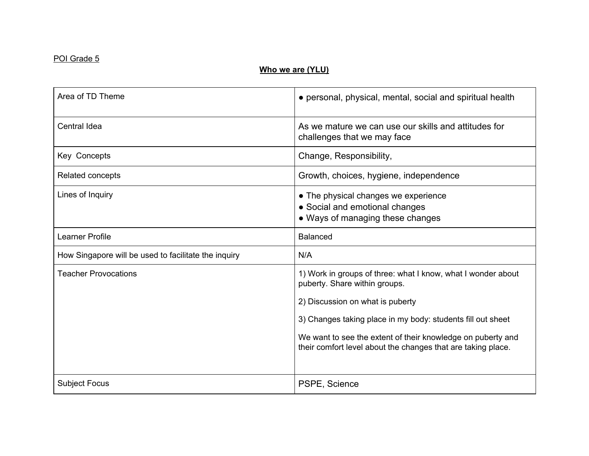## POI Grade 5

# **Who we are (YLU)**

| Area of TD Theme                                     | • personal, physical, mental, social and spiritual health                                                                   |
|------------------------------------------------------|-----------------------------------------------------------------------------------------------------------------------------|
| Central Idea                                         | As we mature we can use our skills and attitudes for<br>challenges that we may face                                         |
| Key Concepts                                         | Change, Responsibility,                                                                                                     |
| Related concepts                                     | Growth, choices, hygiene, independence                                                                                      |
| Lines of Inquiry                                     | • The physical changes we experience<br>• Social and emotional changes<br>• Ways of managing these changes                  |
| Learner Profile                                      | <b>Balanced</b>                                                                                                             |
| How Singapore will be used to facilitate the inquiry | N/A                                                                                                                         |
| <b>Teacher Provocations</b>                          | 1) Work in groups of three: what I know, what I wonder about<br>puberty. Share within groups.                               |
|                                                      | 2) Discussion on what is puberty                                                                                            |
|                                                      | 3) Changes taking place in my body: students fill out sheet                                                                 |
|                                                      | We want to see the extent of their knowledge on puberty and<br>their comfort level about the changes that are taking place. |
| <b>Subject Focus</b>                                 | PSPE, Science                                                                                                               |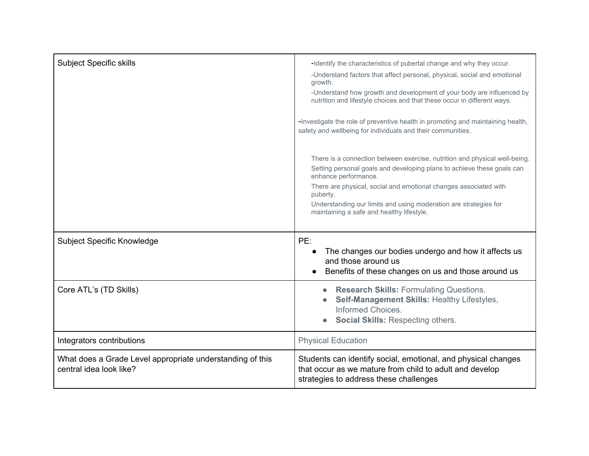| <b>Subject Specific skills</b>                                                       | -Identify the characteristics of pubertal change and why they occur.<br>-Understand factors that affect personal, physical, social and emotional<br>growth.<br>-Understand how growth and development of your body are influenced by<br>nutrition and lifestyle choices and that these occur in different ways.<br>-Investigate the role of preventive health in promoting and maintaining health,<br>safety and wellbeing for individuals and their communities. |
|--------------------------------------------------------------------------------------|-------------------------------------------------------------------------------------------------------------------------------------------------------------------------------------------------------------------------------------------------------------------------------------------------------------------------------------------------------------------------------------------------------------------------------------------------------------------|
|                                                                                      | There is a connection between exercise, nutrition and physical well-being.<br>Setting personal goals and developing plans to achieve these goals can<br>enhance performance.<br>There are physical, social and emotional changes associated with<br>puberty.<br>Understanding our limits and using moderation are strategies for<br>maintaining a safe and healthy lifestyle.                                                                                     |
| <b>Subject Specific Knowledge</b>                                                    | PE:<br>The changes our bodies undergo and how it affects us<br>and those around us<br>Benefits of these changes on us and those around us                                                                                                                                                                                                                                                                                                                         |
| Core ATL's (TD Skills)                                                               | <b>Research Skills: Formulating Questions.</b><br>$\bullet$<br>Self-Management Skills: Healthy Lifestyles,<br>Informed Choices.<br>Social Skills: Respecting others.                                                                                                                                                                                                                                                                                              |
| Integrators contributions                                                            | <b>Physical Education</b>                                                                                                                                                                                                                                                                                                                                                                                                                                         |
| What does a Grade Level appropriate understanding of this<br>central idea look like? | Students can identify social, emotional, and physical changes<br>that occur as we mature from child to adult and develop<br>strategies to address these challenges                                                                                                                                                                                                                                                                                                |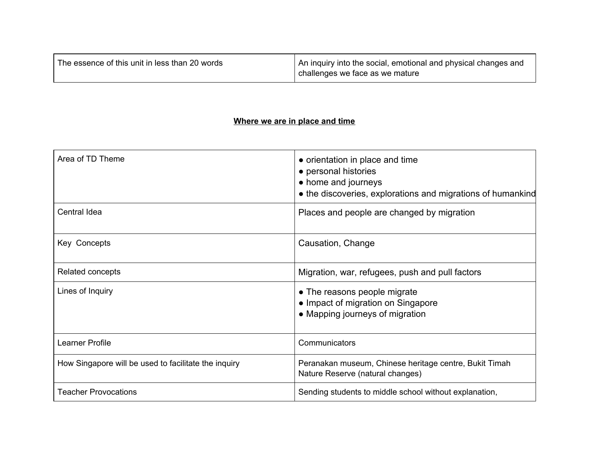| The essence of this unit in less than 20 words | An inquiry into the social, emotional and physical changes and |
|------------------------------------------------|----------------------------------------------------------------|
|                                                | challenges we face as we mature                                |

## **Where we are in place and time**

| Area of TD Theme                                     | • orientation in place and time<br>• personal histories<br>• home and journeys<br>• the discoveries, explorations and migrations of humankind |
|------------------------------------------------------|-----------------------------------------------------------------------------------------------------------------------------------------------|
| Central Idea                                         | Places and people are changed by migration                                                                                                    |
| Key Concepts                                         | Causation, Change                                                                                                                             |
| Related concepts                                     | Migration, war, refugees, push and pull factors                                                                                               |
| Lines of Inquiry                                     | • The reasons people migrate<br>• Impact of migration on Singapore<br>• Mapping journeys of migration                                         |
| Learner Profile                                      | Communicators                                                                                                                                 |
| How Singapore will be used to facilitate the inquiry | Peranakan museum, Chinese heritage centre, Bukit Timah<br>Nature Reserve (natural changes)                                                    |
| <b>Teacher Provocations</b>                          | Sending students to middle school without explanation,                                                                                        |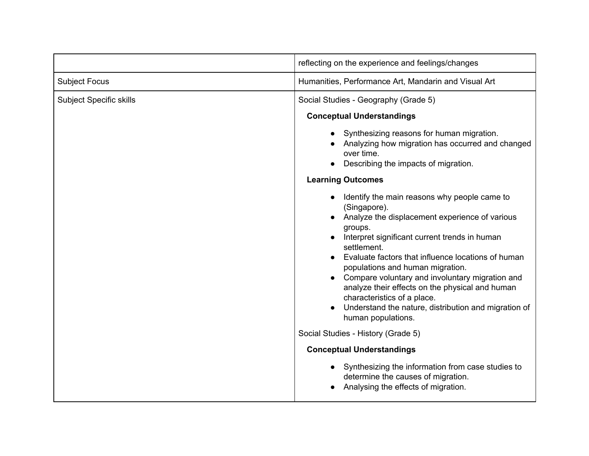|                                | reflecting on the experience and feelings/changes                                                                                                                                                                                                                                                                                                                                                                                                                                                      |
|--------------------------------|--------------------------------------------------------------------------------------------------------------------------------------------------------------------------------------------------------------------------------------------------------------------------------------------------------------------------------------------------------------------------------------------------------------------------------------------------------------------------------------------------------|
| <b>Subject Focus</b>           | Humanities, Performance Art, Mandarin and Visual Art                                                                                                                                                                                                                                                                                                                                                                                                                                                   |
| <b>Subject Specific skills</b> | Social Studies - Geography (Grade 5)<br><b>Conceptual Understandings</b>                                                                                                                                                                                                                                                                                                                                                                                                                               |
|                                | Synthesizing reasons for human migration.<br>Analyzing how migration has occurred and changed<br>over time.<br>Describing the impacts of migration.<br><b>Learning Outcomes</b>                                                                                                                                                                                                                                                                                                                        |
|                                | Identify the main reasons why people came to<br>(Singapore).<br>Analyze the displacement experience of various<br>groups.<br>Interpret significant current trends in human<br>settlement.<br>Evaluate factors that influence locations of human<br>populations and human migration.<br>Compare voluntary and involuntary migration and<br>analyze their effects on the physical and human<br>characteristics of a place.<br>Understand the nature, distribution and migration of<br>human populations. |
|                                | Social Studies - History (Grade 5)                                                                                                                                                                                                                                                                                                                                                                                                                                                                     |
|                                | <b>Conceptual Understandings</b>                                                                                                                                                                                                                                                                                                                                                                                                                                                                       |
|                                | Synthesizing the information from case studies to<br>determine the causes of migration.<br>Analysing the effects of migration.                                                                                                                                                                                                                                                                                                                                                                         |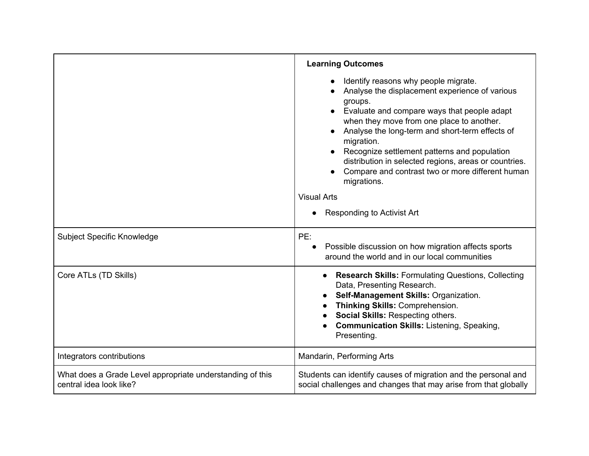|                                                                                      | <b>Learning Outcomes</b>                                                                                                                                                                                                                                                                                                                                                                                                                                                                       |
|--------------------------------------------------------------------------------------|------------------------------------------------------------------------------------------------------------------------------------------------------------------------------------------------------------------------------------------------------------------------------------------------------------------------------------------------------------------------------------------------------------------------------------------------------------------------------------------------|
|                                                                                      | Identify reasons why people migrate.<br>Analyse the displacement experience of various<br>groups.<br>Evaluate and compare ways that people adapt<br>when they move from one place to another.<br>Analyse the long-term and short-term effects of<br>migration.<br>Recognize settlement patterns and population<br>distribution in selected regions, areas or countries.<br>Compare and contrast two or more different human<br>migrations.<br><b>Visual Arts</b><br>Responding to Activist Art |
| Subject Specific Knowledge                                                           | PE:<br>Possible discussion on how migration affects sports<br>around the world and in our local communities                                                                                                                                                                                                                                                                                                                                                                                    |
| Core ATLs (TD Skills)                                                                | <b>Research Skills: Formulating Questions, Collecting</b><br>Data, Presenting Research.<br>Self-Management Skills: Organization.<br>Thinking Skills: Comprehension.<br>Social Skills: Respecting others.<br><b>Communication Skills: Listening, Speaking,</b><br>Presenting.                                                                                                                                                                                                                   |
| Integrators contributions                                                            | Mandarin, Performing Arts                                                                                                                                                                                                                                                                                                                                                                                                                                                                      |
| What does a Grade Level appropriate understanding of this<br>central idea look like? | Students can identify causes of migration and the personal and<br>social challenges and changes that may arise from that globally                                                                                                                                                                                                                                                                                                                                                              |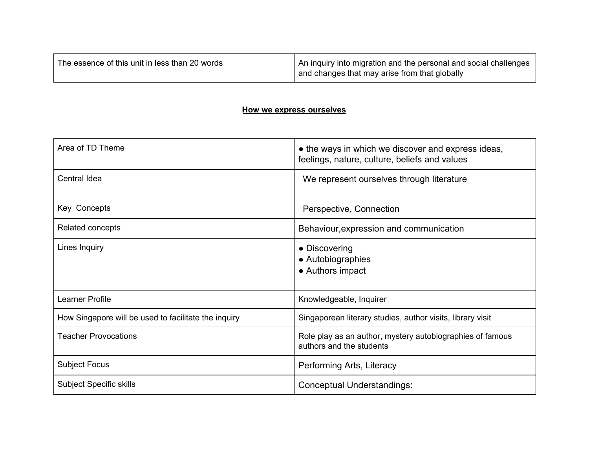| The essence of this unit in less than 20 words | An inquiry into migration and the personal and social challenges<br>and changes that may arise from that globally |
|------------------------------------------------|-------------------------------------------------------------------------------------------------------------------|
|------------------------------------------------|-------------------------------------------------------------------------------------------------------------------|

#### **How we express ourselves**

| Area of TD Theme                                     | • the ways in which we discover and express ideas,<br>feelings, nature, culture, beliefs and values |
|------------------------------------------------------|-----------------------------------------------------------------------------------------------------|
| Central Idea                                         | We represent ourselves through literature                                                           |
| Key Concepts                                         | Perspective, Connection                                                                             |
| Related concepts                                     | Behaviour, expression and communication                                                             |
| Lines Inquiry                                        | • Discovering<br>• Autobiographies<br>• Authors impact                                              |
| Learner Profile                                      | Knowledgeable, Inquirer                                                                             |
| How Singapore will be used to facilitate the inquiry | Singaporean literary studies, author visits, library visit                                          |
| <b>Teacher Provocations</b>                          | Role play as an author, mystery autobiographies of famous<br>authors and the students               |
| <b>Subject Focus</b>                                 | Performing Arts, Literacy                                                                           |
| <b>Subject Specific skills</b>                       | Conceptual Understandings:                                                                          |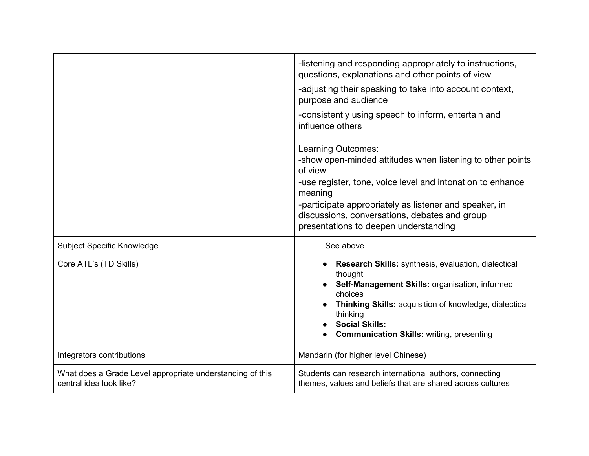|                                                                                      | -listening and responding appropriately to instructions,<br>questions, explanations and other points of view<br>-adjusting their speaking to take into account context,<br>purpose and audience<br>-consistently using speech to inform, entertain and<br>influence others<br>Learning Outcomes:<br>-show open-minded attitudes when listening to other points<br>of view<br>-use register, tone, voice level and intonation to enhance<br>meaning<br>-participate appropriately as listener and speaker, in<br>discussions, conversations, debates and group<br>presentations to deepen understanding |
|--------------------------------------------------------------------------------------|--------------------------------------------------------------------------------------------------------------------------------------------------------------------------------------------------------------------------------------------------------------------------------------------------------------------------------------------------------------------------------------------------------------------------------------------------------------------------------------------------------------------------------------------------------------------------------------------------------|
| Subject Specific Knowledge                                                           | See above                                                                                                                                                                                                                                                                                                                                                                                                                                                                                                                                                                                              |
| Core ATL's (TD Skills)                                                               | Research Skills: synthesis, evaluation, dialectical<br>thought<br>Self-Management Skills: organisation, informed<br>choices<br>Thinking Skills: acquisition of knowledge, dialectical<br>thinking<br><b>Social Skills:</b><br><b>Communication Skills: writing, presenting</b>                                                                                                                                                                                                                                                                                                                         |
| Integrators contributions                                                            | Mandarin (for higher level Chinese)                                                                                                                                                                                                                                                                                                                                                                                                                                                                                                                                                                    |
| What does a Grade Level appropriate understanding of this<br>central idea look like? | Students can research international authors, connecting<br>themes, values and beliefs that are shared across cultures                                                                                                                                                                                                                                                                                                                                                                                                                                                                                  |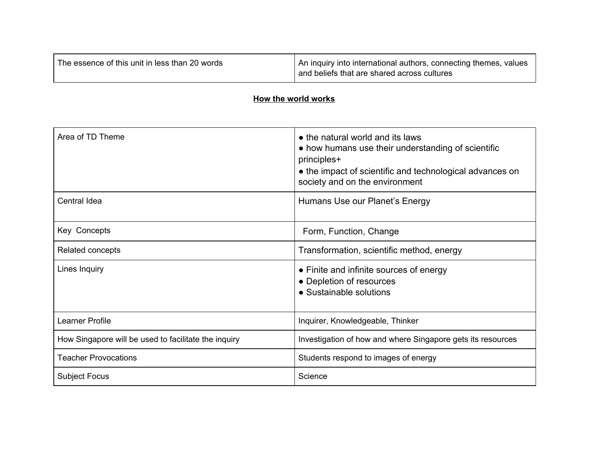| The essence of this unit in less than 20 words | An inquiry into international authors, connecting themes, values<br>and beliefs that are shared across cultures |
|------------------------------------------------|-----------------------------------------------------------------------------------------------------------------|
|                                                |                                                                                                                 |

## **How the world works**

| Area of TD Theme                                     | • the natural world and its laws<br>• how humans use their understanding of scientific<br>principles+<br>• the impact of scientific and technological advances on<br>society and on the environment |
|------------------------------------------------------|-----------------------------------------------------------------------------------------------------------------------------------------------------------------------------------------------------|
| Central Idea                                         | Humans Use our Planet's Energy                                                                                                                                                                      |
| Key Concepts                                         | Form, Function, Change                                                                                                                                                                              |
| Related concepts                                     | Transformation, scientific method, energy                                                                                                                                                           |
| Lines Inquiry                                        | • Finite and infinite sources of energy<br>• Depletion of resources<br>• Sustainable solutions                                                                                                      |
| Learner Profile                                      | Inquirer, Knowledgeable, Thinker                                                                                                                                                                    |
| How Singapore will be used to facilitate the inquiry | Investigation of how and where Singapore gets its resources                                                                                                                                         |
| <b>Teacher Provocations</b>                          | Students respond to images of energy                                                                                                                                                                |
| <b>Subject Focus</b>                                 | Science                                                                                                                                                                                             |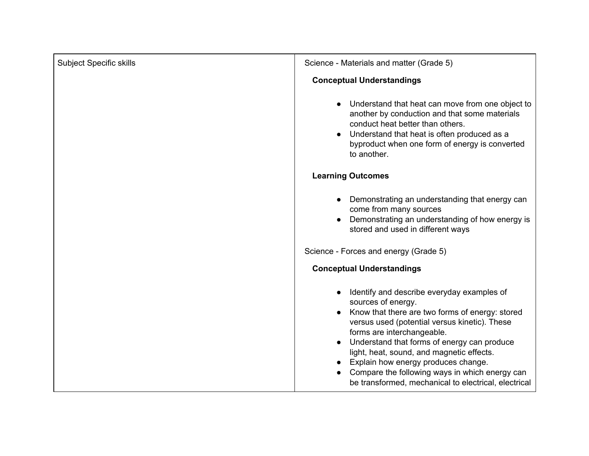| <b>Subject Specific skills</b> | Science - Materials and matter (Grade 5)                                                                                                                                                                                                                                                                                                                                                                                                        |
|--------------------------------|-------------------------------------------------------------------------------------------------------------------------------------------------------------------------------------------------------------------------------------------------------------------------------------------------------------------------------------------------------------------------------------------------------------------------------------------------|
|                                | <b>Conceptual Understandings</b>                                                                                                                                                                                                                                                                                                                                                                                                                |
|                                | Understand that heat can move from one object to<br>another by conduction and that some materials<br>conduct heat better than others.<br>Understand that heat is often produced as a<br>$\bullet$<br>byproduct when one form of energy is converted<br>to another.                                                                                                                                                                              |
|                                | <b>Learning Outcomes</b>                                                                                                                                                                                                                                                                                                                                                                                                                        |
|                                | Demonstrating an understanding that energy can<br>come from many sources<br>Demonstrating an understanding of how energy is<br>stored and used in different ways                                                                                                                                                                                                                                                                                |
|                                | Science - Forces and energy (Grade 5)                                                                                                                                                                                                                                                                                                                                                                                                           |
|                                | <b>Conceptual Understandings</b>                                                                                                                                                                                                                                                                                                                                                                                                                |
|                                | Identify and describe everyday examples of<br>sources of energy.<br>Know that there are two forms of energy: stored<br>versus used (potential versus kinetic). These<br>forms are interchangeable.<br>Understand that forms of energy can produce<br>light, heat, sound, and magnetic effects.<br>Explain how energy produces change.<br>Compare the following ways in which energy can<br>be transformed, mechanical to electrical, electrical |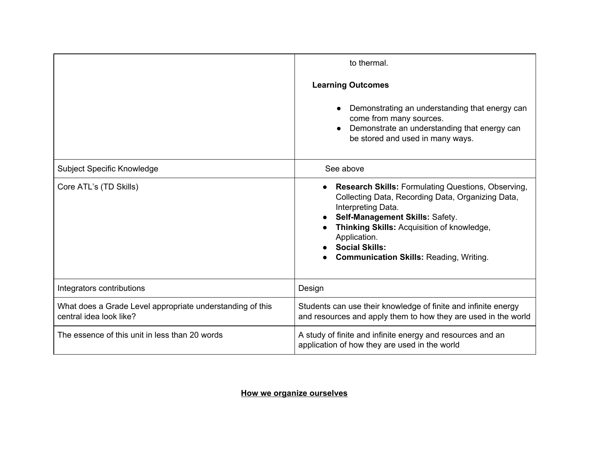|                                                                                      | to thermal.<br><b>Learning Outcomes</b><br>Demonstrating an understanding that energy can<br>come from many sources.<br>Demonstrate an understanding that energy can<br>be stored and used in many ways.                                                                                                         |
|--------------------------------------------------------------------------------------|------------------------------------------------------------------------------------------------------------------------------------------------------------------------------------------------------------------------------------------------------------------------------------------------------------------|
| Subject Specific Knowledge                                                           | See above                                                                                                                                                                                                                                                                                                        |
| Core ATL's (TD Skills)                                                               | <b>Research Skills: Formulating Questions, Observing,</b><br>Collecting Data, Recording Data, Organizing Data,<br>Interpreting Data.<br>Self-Management Skills: Safety.<br>Thinking Skills: Acquisition of knowledge,<br>Application.<br><b>Social Skills:</b><br><b>Communication Skills: Reading, Writing.</b> |
| Integrators contributions                                                            | Design                                                                                                                                                                                                                                                                                                           |
| What does a Grade Level appropriate understanding of this<br>central idea look like? | Students can use their knowledge of finite and infinite energy<br>and resources and apply them to how they are used in the world                                                                                                                                                                                 |
| The essence of this unit in less than 20 words                                       | A study of finite and infinite energy and resources and an<br>application of how they are used in the world                                                                                                                                                                                                      |

# **How we organize ourselves**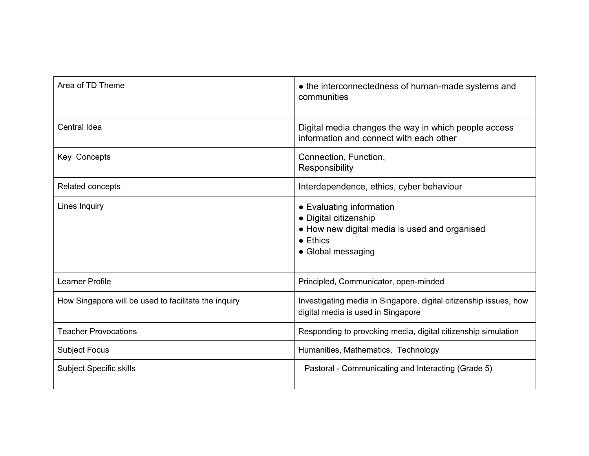| Area of TD Theme                                     | • the interconnectedness of human-made systems and<br>communities                                                                            |
|------------------------------------------------------|----------------------------------------------------------------------------------------------------------------------------------------------|
| Central Idea                                         | Digital media changes the way in which people access<br>information and connect with each other                                              |
| Key Concepts                                         | Connection, Function,<br>Responsibility                                                                                                      |
| Related concepts                                     | Interdependence, ethics, cyber behaviour                                                                                                     |
| Lines Inquiry                                        | • Evaluating information<br>• Digital citizenship<br>• How new digital media is used and organised<br>$\bullet$ Ethics<br>• Global messaging |
| Learner Profile                                      | Principled, Communicator, open-minded                                                                                                        |
| How Singapore will be used to facilitate the inquiry | Investigating media in Singapore, digital citizenship issues, how<br>digital media is used in Singapore                                      |
| <b>Teacher Provocations</b>                          | Responding to provoking media, digital citizenship simulation                                                                                |
| <b>Subject Focus</b>                                 | Humanities, Mathematics, Technology                                                                                                          |
| <b>Subject Specific skills</b>                       | Pastoral - Communicating and Interacting (Grade 5)                                                                                           |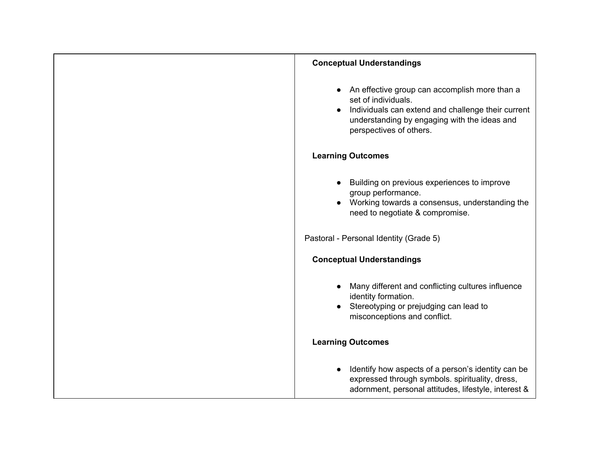| <b>Conceptual Understandings</b>                                                                                                                                                                      |
|-------------------------------------------------------------------------------------------------------------------------------------------------------------------------------------------------------|
| An effective group can accomplish more than a<br>set of individuals.<br>Individuals can extend and challenge their current<br>understanding by engaging with the ideas and<br>perspectives of others. |
| <b>Learning Outcomes</b>                                                                                                                                                                              |
| Building on previous experiences to improve<br>group performance.<br>Working towards a consensus, understanding the<br>need to negotiate & compromise.                                                |
| Pastoral - Personal Identity (Grade 5)                                                                                                                                                                |
| <b>Conceptual Understandings</b>                                                                                                                                                                      |
| Many different and conflicting cultures influence<br>identity formation.<br>Stereotyping or prejudging can lead to<br>misconceptions and conflict.                                                    |
| <b>Learning Outcomes</b>                                                                                                                                                                              |
| Identify how aspects of a person's identity can be<br>expressed through symbols. spirituality, dress,<br>adornment, personal attitudes, lifestyle, interest &                                         |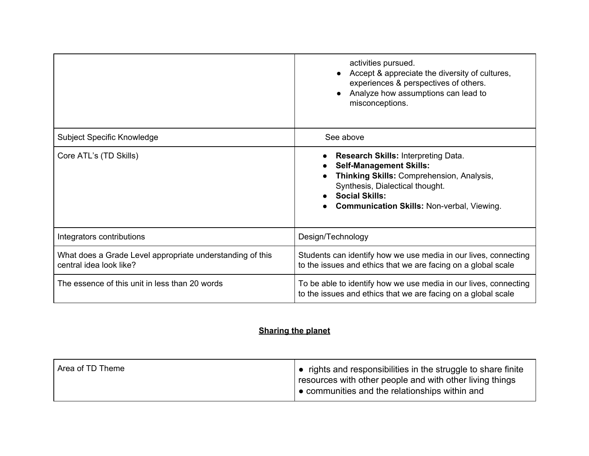|                                                                                      | activities pursued.<br>Accept & appreciate the diversity of cultures,<br>experiences & perspectives of others.<br>Analyze how assumptions can lead to<br>misconceptions.                                                                   |
|--------------------------------------------------------------------------------------|--------------------------------------------------------------------------------------------------------------------------------------------------------------------------------------------------------------------------------------------|
| <b>Subject Specific Knowledge</b>                                                    | See above                                                                                                                                                                                                                                  |
| Core ATL's (TD Skills)                                                               | <b>Research Skills: Interpreting Data.</b><br><b>Self-Management Skills:</b><br>Thinking Skills: Comprehension, Analysis,<br>Synthesis, Dialectical thought.<br><b>Social Skills:</b><br><b>Communication Skills: Non-verbal, Viewing.</b> |
| Integrators contributions                                                            | Design/Technology                                                                                                                                                                                                                          |
| What does a Grade Level appropriate understanding of this<br>central idea look like? | Students can identify how we use media in our lives, connecting<br>to the issues and ethics that we are facing on a global scale                                                                                                           |
| The essence of this unit in less than 20 words                                       | To be able to identify how we use media in our lives, connecting<br>to the issues and ethics that we are facing on a global scale                                                                                                          |

# **Sharing the planet**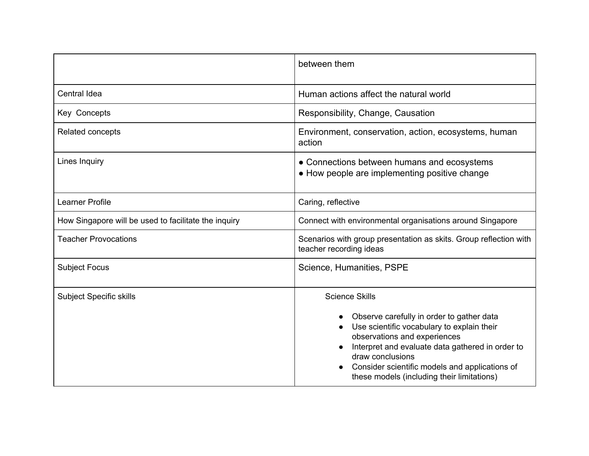|                                                      | between them                                                                                                                                                                                                                                                                                                             |
|------------------------------------------------------|--------------------------------------------------------------------------------------------------------------------------------------------------------------------------------------------------------------------------------------------------------------------------------------------------------------------------|
| Central Idea                                         | Human actions affect the natural world                                                                                                                                                                                                                                                                                   |
| Key Concepts                                         | Responsibility, Change, Causation                                                                                                                                                                                                                                                                                        |
| Related concepts                                     | Environment, conservation, action, ecosystems, human<br>action                                                                                                                                                                                                                                                           |
| Lines Inquiry                                        | • Connections between humans and ecosystems<br>• How people are implementing positive change                                                                                                                                                                                                                             |
| Learner Profile                                      | Caring, reflective                                                                                                                                                                                                                                                                                                       |
| How Singapore will be used to facilitate the inquiry | Connect with environmental organisations around Singapore                                                                                                                                                                                                                                                                |
| <b>Teacher Provocations</b>                          | Scenarios with group presentation as skits. Group reflection with<br>teacher recording ideas                                                                                                                                                                                                                             |
| <b>Subject Focus</b>                                 | Science, Humanities, PSPE                                                                                                                                                                                                                                                                                                |
| <b>Subject Specific skills</b>                       | <b>Science Skills</b><br>Observe carefully in order to gather data<br>Use scientific vocabulary to explain their<br>observations and experiences<br>Interpret and evaluate data gathered in order to<br>draw conclusions<br>Consider scientific models and applications of<br>these models (including their limitations) |